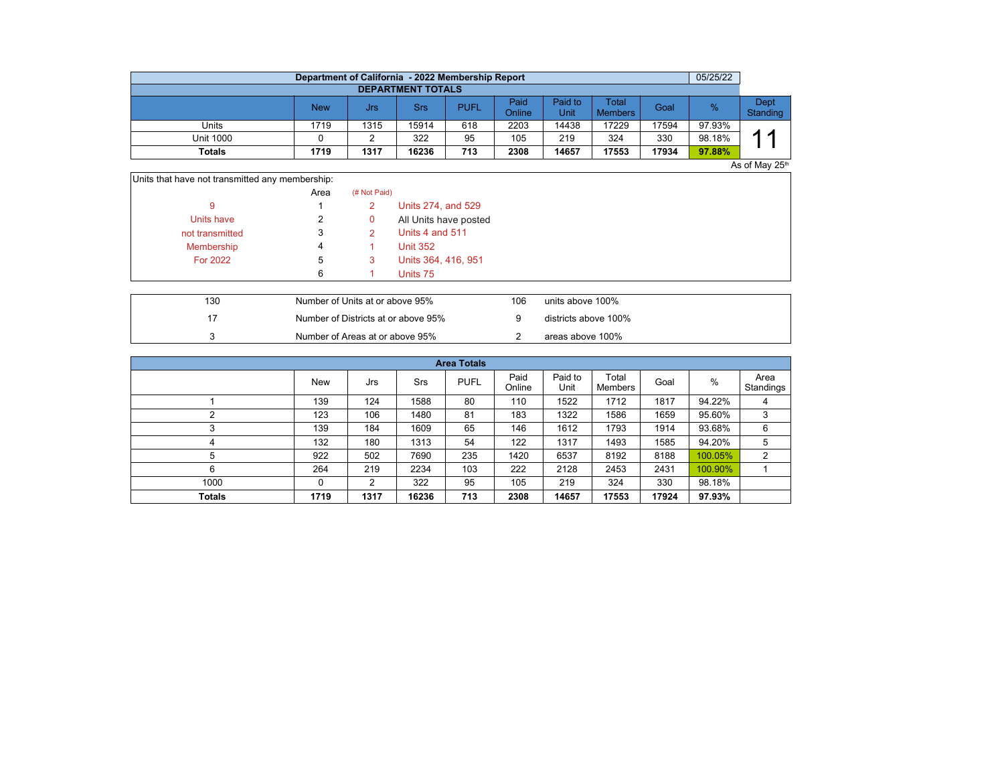|                          | Department of California - 2022 Membership Report |      |            |             |                |                 |                                |       | 05/25/22 |                  |  |  |  |  |
|--------------------------|---------------------------------------------------|------|------------|-------------|----------------|-----------------|--------------------------------|-------|----------|------------------|--|--|--|--|
| <b>DEPARTMENT TOTALS</b> |                                                   |      |            |             |                |                 |                                |       |          |                  |  |  |  |  |
|                          | <b>New</b>                                        | Jrs  | <b>Srs</b> | <b>PUFL</b> | Paid<br>Online | Paid to<br>Unit | <b>Total</b><br><b>Members</b> | Goal  | %        | Dept<br>Standing |  |  |  |  |
| Units                    | 1719                                              | 1315 | 15914      | 618         | 2203           | 14438           | 17229                          | 17594 | 97.93%   |                  |  |  |  |  |
| <b>Unit 1000</b>         |                                                   |      | 322        | 95          | 105            | 219             | 324                            | 330   | 98.18%   | ◢<br>л           |  |  |  |  |
| <b>Totals</b>            | 1719                                              | 1317 | 16236      | 713         | 2308           | 14657           | 17553                          | 17934 | 97.88%   |                  |  |  |  |  |
| As of May 25th           |                                                   |      |            |             |                |                 |                                |       |          |                  |  |  |  |  |

| Units that have not transmitted any membership: |                 |
|-------------------------------------------------|-----------------|
| Aron                                            | $(4k$ Met Deid) |

|                 | AICA | (# INOL Palu) |                       |
|-----------------|------|---------------|-----------------------|
|                 |      | 2             | Units 274, and 529    |
| Units have      |      | 0             | All Units have posted |
| not transmitted | 3    |               | Units 4 and 511       |
| Membership      |      |               | <b>Unit 352</b>       |
| For 2022        | b    | 3             | Units 364, 416, 951   |
|                 | 6    |               | Units 75              |
|                 |      |               |                       |

| 130 | Number of Units at or above 95%     | 106 | units above 100%     |
|-----|-------------------------------------|-----|----------------------|
|     | Number of Districts at or above 95% |     | districts above 100% |
|     | Number of Areas at or above 95%     |     | areas above 100%     |

| <b>Area Totals</b> |      |      |       |             |                |                 |                  |       |         |                   |  |  |  |  |
|--------------------|------|------|-------|-------------|----------------|-----------------|------------------|-------|---------|-------------------|--|--|--|--|
|                    | New  | Jrs  | Srs   | <b>PUFL</b> | Paid<br>Online | Paid to<br>Unit | Total<br>Members | Goal  | %       | Area<br>Standings |  |  |  |  |
|                    | 139  | 124  | 1588  | 80          | 110            | 1522            | 1712             | 1817  | 94.22%  | 4                 |  |  |  |  |
| C                  | 123  | 106  | 1480  | 81          | 183            | 1322            | 1586             | 1659  | 95.60%  | 3                 |  |  |  |  |
| 3                  | 139  | 184  | 1609  | 65          | 146            | 1612            | 1793             | 1914  | 93.68%  | 6                 |  |  |  |  |
| 4                  | 132  | 180  | 1313  | 54          | 122            | 1317            | 1493             | 1585  | 94.20%  | 5                 |  |  |  |  |
| 5                  | 922  | 502  | 7690  | 235         | 1420           | 6537            | 8192             | 8188  | 100.05% | 2                 |  |  |  |  |
| 6                  | 264  | 219  | 2234  | 103         | 222            | 2128            | 2453             | 2431  | 100.90% |                   |  |  |  |  |
| 1000               | 0    | 2    | 322   | 95          | 105            | 219             | 324              | 330   | 98.18%  |                   |  |  |  |  |
| <b>Totals</b>      | 1719 | 1317 | 16236 | 713         | 2308           | 14657           | 17553            | 17924 | 97.93%  |                   |  |  |  |  |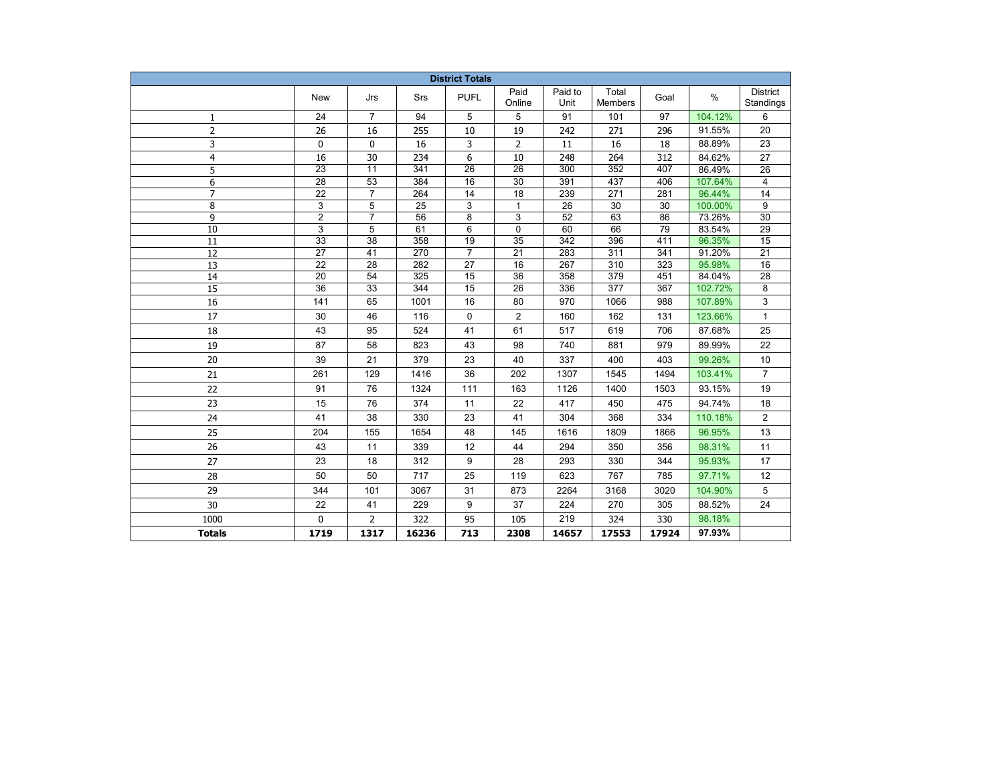| <b>District Totals</b> |                       |                 |                  |                 |                       |                 |                  |            |                  |                              |  |
|------------------------|-----------------------|-----------------|------------------|-----------------|-----------------------|-----------------|------------------|------------|------------------|------------------------------|--|
|                        | <b>New</b>            | Jrs             | Srs              | <b>PUFL</b>     | Paid<br>Online        | Paid to<br>Unit | Total<br>Members | Goal       | $\%$             | <b>District</b><br>Standings |  |
| $\mathbf{1}$           | 24                    | $\overline{7}$  | 94               | 5               | 5                     | 91              | 101              | 97         | 104.12%          | 6                            |  |
| $\overline{2}$         | 26                    | 16              | 255              | 10              | 19                    | 242             | 271              | 296        | 91.55%           | 20                           |  |
| 3                      | 0                     | 0               | 16               | 3               | 2                     | 11              | 16               | 18         | 88.89%           | 23                           |  |
| $\overline{4}$         | 16                    | 30              | 234              | 6               | 10                    | 248             | 264              | 312        | 84.62%           | 27                           |  |
| 5                      | $\overline{23}$       | $\overline{11}$ | $\overline{341}$ | $\overline{26}$ | $\overline{26}$       | 300             | 352              | 407        | 86.49%           | $\overline{26}$              |  |
| 6                      | $\overline{28}$       | $\overline{53}$ | 384              | 16              | $\overline{30}$       | 391             | 437              | 406        | 107.64%          | $\overline{4}$               |  |
| $\overline{7}$         | $\overline{22}$       | $\overline{7}$  | 264              | 14              | $\overline{18}$       | 239             | $\overline{271}$ | 281        | 96.44%           | $\overline{14}$              |  |
| 8                      | $\overline{3}$        | $\overline{5}$  | $\overline{25}$  | 3               | $\mathbf{1}$          | $\overline{26}$ | $\overline{30}$  | 30         | 100.00%          | 9                            |  |
| 9                      | $\overline{c}$        | $\overline{7}$  | 56               | 8               | 3                     | 52              | 63               | 86         | 73.26%           | 30                           |  |
| 10                     | $\overline{3}$        | 5               | 61               | 6               | 0                     | 60              | 66               | 79         | 83.54%           | 29                           |  |
| 11                     | 33                    | 38              | 358              | 19              | 35                    | 342             | 396              | 411        | 96.35%           | 15                           |  |
| 12                     | 27                    | 41              | 270              | $\overline{7}$  | 21                    | 283             | 311              | 341        | 91.20%           | 21                           |  |
| 13<br>14               | 22<br>$\overline{20}$ | 28<br>54        | 282<br>325       | 27<br>15        | 16<br>$\overline{36}$ | 267<br>358      | 310<br>379       | 323<br>451 | 95.98%<br>84.04% | 16<br>$\overline{28}$        |  |
| $\overline{15}$        | $\overline{36}$       | $\overline{33}$ | 344              | 15              | $\overline{26}$       | 336             | $\overline{377}$ | 367        | 102.72%          | 8                            |  |
| 16                     | 141                   | 65              | 1001             | 16              | 80                    | 970             | 1066             | 988        | 107.89%          | 3                            |  |
| 17                     | 30                    | 46              | 116              | 0               | $\overline{2}$        | 160             | 162              | 131        | 123.66%          | $\mathbf{1}$                 |  |
| 18                     | 43                    | 95              | 524              | 41              | 61                    | 517             | 619              | 706        | 87.68%           | 25                           |  |
|                        |                       |                 |                  |                 |                       |                 |                  |            |                  |                              |  |
| 19                     | 87                    | 58              | 823              | 43              | 98                    | 740             | 881              | 979        | 89.99%           | 22                           |  |
| 20                     | 39                    | 21              | 379              | 23              | 40                    | 337             | 400              | 403        | 99.26%           | 10                           |  |
| 21                     | 261                   | 129             | 1416             | 36              | 202                   | 1307            | 1545             | 1494       | 103.41%          | $\overline{7}$               |  |
| 22                     | 91                    | 76              | 1324             | 111             | 163                   | 1126            | 1400             | 1503       | 93.15%           | 19                           |  |
| 23                     | 15                    | 76              | 374              | 11              | 22                    | 417             | 450              | 475        | 94.74%           | 18                           |  |
| 24                     | 41                    | 38              | 330              | 23              | 41                    | 304             | 368              | 334        | 110.18%          | $\overline{2}$               |  |
| 25                     | 204                   | 155             | 1654             | 48              | 145                   | 1616            | 1809             | 1866       | 96.95%           | 13                           |  |
| 26                     | 43                    | 11              | 339              | 12              | 44                    | 294             | 350              | 356        | 98.31%           | 11                           |  |
| 27                     | 23                    | 18              | 312              | 9               | 28                    | 293             | 330              | 344        | 95.93%           | 17                           |  |
| 28                     | 50                    | 50              | 717              | 25              | 119                   | 623             | 767              | 785        | 97.71%           | 12                           |  |
| 29                     | 344                   | 101             | 3067             | 31              | 873                   | 2264            | 3168             | 3020       | 104.90%          | 5                            |  |
| 30                     | 22                    | 41              | 229              | 9               | 37                    | 224             | 270              | 305        | 88.52%           | 24                           |  |
| 1000                   | 0                     | $\overline{2}$  | 322              | 95              | 105                   | 219             | 324              | 330        | 98.18%           |                              |  |
| <b>Totals</b>          | 1719                  | 1317            | 16236            | 713             | 2308                  | 14657           | 17553            | 17924      | 97.93%           |                              |  |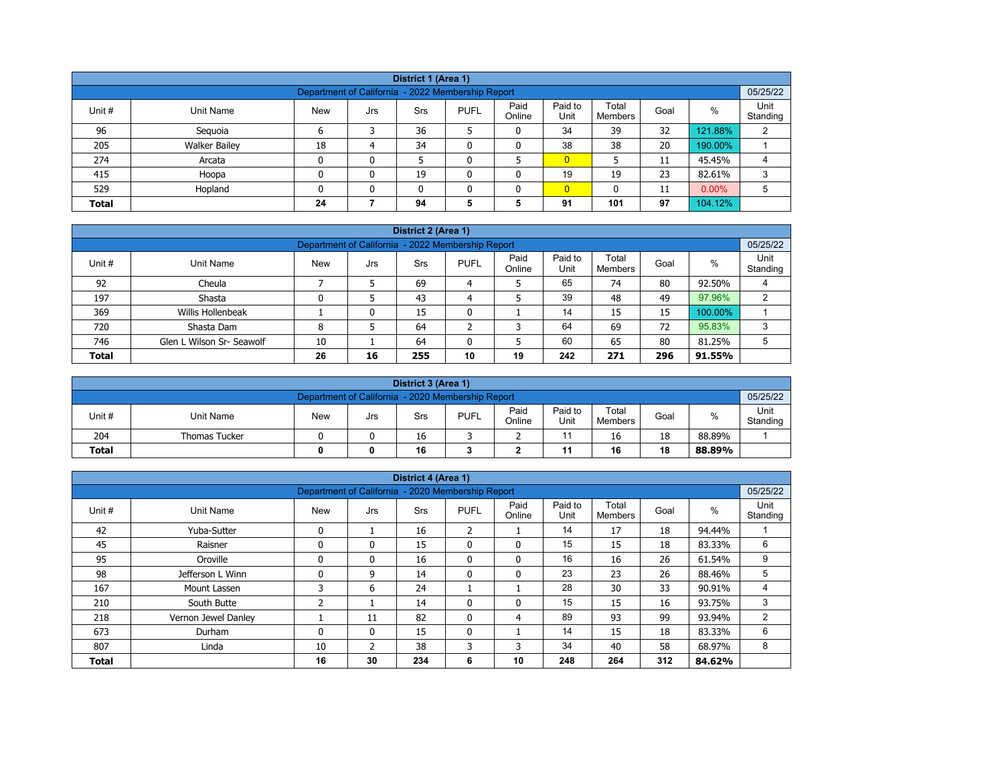|              | District 1 (Area 1)                                                             |            |     |            |             |                |                 |                         |      |         |                  |  |  |  |  |
|--------------|---------------------------------------------------------------------------------|------------|-----|------------|-------------|----------------|-----------------|-------------------------|------|---------|------------------|--|--|--|--|
|              | 05/25/22<br>Department of California - 2022 Membership Report                   |            |     |            |             |                |                 |                         |      |         |                  |  |  |  |  |
| Unit #       | Unit Name                                                                       | <b>New</b> | Jrs | <b>Srs</b> | <b>PUFL</b> | Paid<br>Online | Paid to<br>Unit | Total<br><b>Members</b> | Goal | $\%$    | Unit<br>Standing |  |  |  |  |
| 96           | Seguoia                                                                         | 6          |     | 36         |             | 0              | 34              | 39                      | 32   | 121.88% | 2                |  |  |  |  |
| 205          | <b>Walker Bailey</b>                                                            | 18         | 4   | 34         | ٥           | 0              | 38              | 38                      | 20   | 190.00% |                  |  |  |  |  |
| 274          | Arcata                                                                          | 0          | 0   |            |             |                | $\overline{0}$  |                         | 11   | 45.45%  | 4                |  |  |  |  |
| 415          | Hoopa                                                                           | 0          | 0   | 19         | ٥           | 0              | 19              | 19                      | 23   | 82.61%  | 3                |  |  |  |  |
| 529          | $\overline{0}$<br>$0.00\%$<br>Hopland<br>5<br>0<br>$\mathbf{0}$<br>11<br>n<br>0 |            |     |            |             |                |                 |                         |      |         |                  |  |  |  |  |
| <b>Total</b> |                                                                                 | 24         |     | 94         | 5           | 5              | 91              | 101                     | 97   | 104.12% |                  |  |  |  |  |

|              | District 2 (Area 1)                                           |            |     |     |             |                |                 |                  |      |         |                  |  |  |  |  |
|--------------|---------------------------------------------------------------|------------|-----|-----|-------------|----------------|-----------------|------------------|------|---------|------------------|--|--|--|--|
|              | 05/25/22<br>Department of California - 2022 Membership Report |            |     |     |             |                |                 |                  |      |         |                  |  |  |  |  |
| Unit #       | Unit Name                                                     | <b>New</b> | Jrs | Srs | <b>PUFL</b> | Paid<br>Online | Paid to<br>Unit | Total<br>Members | Goal | $\%$    | Unit<br>Standing |  |  |  |  |
| 92           | Cheula                                                        |            |     | 69  | 4           |                | 65              | 74               | 80   | 92.50%  |                  |  |  |  |  |
| 197          | Shasta                                                        |            |     | 43  | 4           |                | 39              | 48               | 49   | 97.96%  | ົ                |  |  |  |  |
| 369          | Willis Hollenbeak                                             |            | 0   | 15  | 0           |                | 14              | 15               | 15   | 100.00% |                  |  |  |  |  |
| 720          | Shasta Dam                                                    | 8          |     | 64  | ີ           | 3              | 64              | 69               | 72   | 95.83%  | 3                |  |  |  |  |
| 746          | Glen L Wilson Sr- Seawolf                                     | 10         |     | 64  | 0           | 5              | 60              | 65               | 80   | 81.25%  | 5                |  |  |  |  |
| <b>Total</b> |                                                               | 26         | 16  | 255 | 10          | 19             | 242             | 271              | 296  | 91.55%  |                  |  |  |  |  |

|              | District 3 (Area 1)                                           |            |     |     |             |                |                 |                  |      |        |                  |  |  |  |  |
|--------------|---------------------------------------------------------------|------------|-----|-----|-------------|----------------|-----------------|------------------|------|--------|------------------|--|--|--|--|
|              | 05/25/22<br>Department of California - 2020 Membership Report |            |     |     |             |                |                 |                  |      |        |                  |  |  |  |  |
| Unit #       | Unit Name                                                     | <b>New</b> | Jrs | Srs | <b>PUFL</b> | Paid<br>Online | Paid to<br>Unit | Total<br>Members | Goal | %      | Unit<br>Standing |  |  |  |  |
| 204          | <b>Thomas Tucker</b>                                          |            |     | 16  |             |                |                 | 16               | 18   | 88.89% |                  |  |  |  |  |
| <b>Total</b> |                                                               |            | 0   | 16  |             |                | 11              | 16               | 18   | 88.89% |                  |  |  |  |  |

| District 4 (Area 1) |                     |                                                   |              |            |                |                |                 |                         |      |        |                  |  |  |
|---------------------|---------------------|---------------------------------------------------|--------------|------------|----------------|----------------|-----------------|-------------------------|------|--------|------------------|--|--|
|                     |                     | Department of California - 2020 Membership Report |              |            |                |                |                 |                         |      |        | 05/25/22         |  |  |
| Unit #              | <b>Unit Name</b>    | <b>New</b>                                        | Jrs          | <b>Srs</b> | <b>PUFL</b>    | Paid<br>Online | Paid to<br>Unit | Total<br><b>Members</b> | Goal | %      | Unit<br>Standing |  |  |
| 42                  | Yuba-Sutter         | $\mathbf{0}$                                      |              | 16         | $\overline{2}$ |                | 14              | 17                      | 18   | 94.44% |                  |  |  |
| 45                  | Raisner             |                                                   | $\mathbf{0}$ | 15         | $\mathbf{0}$   | $\mathbf{0}$   | 15              | 15                      | 18   | 83.33% | 6                |  |  |
| 95                  | Oroville            | $\mathbf{0}$                                      | $\mathbf{0}$ | 16         | $\mathbf{0}$   | $\mathbf{0}$   | 16              | 16                      | 26   | 61.54% | 9                |  |  |
| 98                  | Jefferson L Winn    |                                                   | 9            | 14         | $\mathbf{0}$   | 0              | 23              | 23                      | 26   | 88.46% | 5                |  |  |
| 167                 | Mount Lassen        | 3                                                 | 6            | 24         | Τ.             |                | 28              | 30                      | 33   | 90.91% | 4                |  |  |
| 210                 | South Butte         | 2                                                 |              | 14         | $\mathbf{0}$   | $\mathbf{0}$   | 15              | 15                      | 16   | 93.75% | 3                |  |  |
| 218                 | Vernon Jewel Danley |                                                   | 11           | 82         | $\mathbf{0}$   | 4              | 89              | 93                      | 99   | 93.94% | 2                |  |  |
| 673                 | Durham              | $\mathbf{0}$                                      | $\mathbf{0}$ | 15         | $\mathbf{0}$   |                | 14              | 15                      | 18   | 83.33% | 6                |  |  |
| 807                 | Linda               | 10                                                | 2            | 38         | 3              | 3              | 34              | 40                      | 58   | 68.97% | 8                |  |  |
| <b>Total</b>        |                     | 16                                                | 30           | 234        | 6              | 10             | 248             | 264                     | 312  | 84.62% |                  |  |  |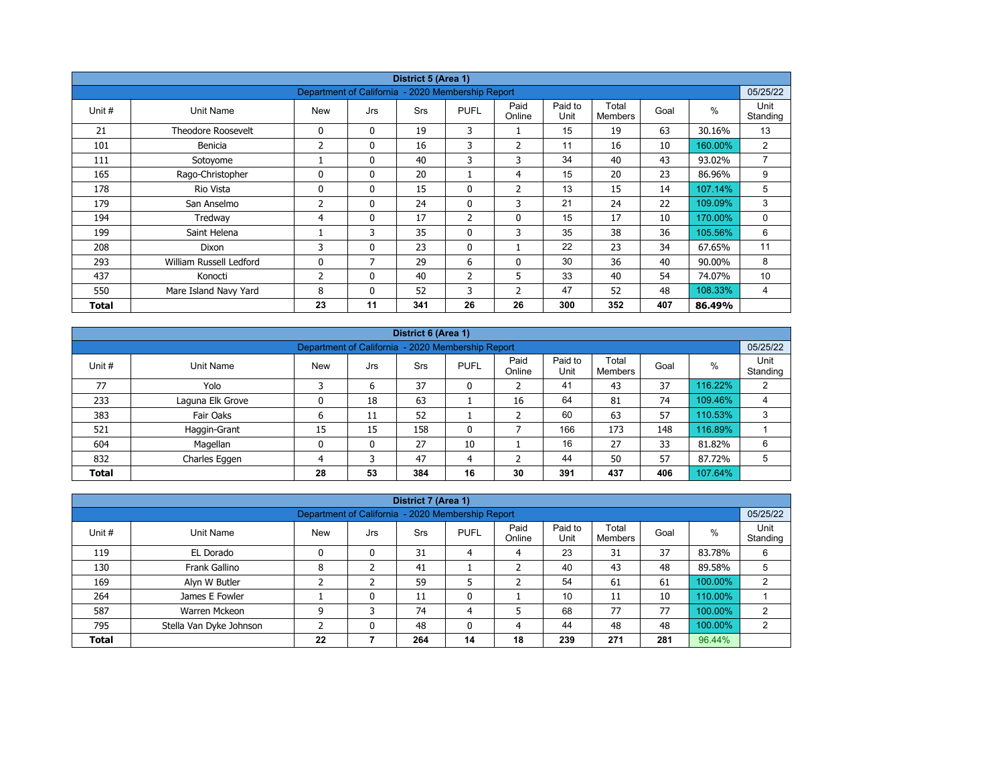|        | District 5 (Area 1)                                           |            |              |            |                |                |                 |                         |      |         |                  |  |  |  |  |
|--------|---------------------------------------------------------------|------------|--------------|------------|----------------|----------------|-----------------|-------------------------|------|---------|------------------|--|--|--|--|
|        | 05/25/22<br>Department of California - 2020 Membership Report |            |              |            |                |                |                 |                         |      |         |                  |  |  |  |  |
| Unit # | Unit Name                                                     | <b>New</b> | Jrs          | <b>Srs</b> | <b>PUFL</b>    | Paid<br>Online | Paid to<br>Unit | Total<br><b>Members</b> | Goal | $\%$    | Unit<br>Standing |  |  |  |  |
| 21     | <b>Theodore Roosevelt</b>                                     | 0          | $\mathbf{0}$ | 19         | 3              |                | 15              | 19                      | 63   | 30.16%  | 13               |  |  |  |  |
| 101    | Benicia                                                       | 2          | 0            | 16         | 3              | $\overline{2}$ | 11              | 16                      | 10   | 160.00% | $\overline{2}$   |  |  |  |  |
| 111    | Sotoyome                                                      |            | $\mathbf{0}$ | 40         | 3              | 3              | 34              | 40                      | 43   | 93.02%  | $\overline{7}$   |  |  |  |  |
| 165    | Rago-Christopher                                              | $\Omega$   | $\mathbf{0}$ | 20         |                | 4              | 15              | 20                      | 23   | 86.96%  | 9                |  |  |  |  |
| 178    | Rio Vista                                                     | 0          | $\mathbf{0}$ | 15         | 0              | $\overline{2}$ | 13              | 15                      | 14   | 107.14% | 5                |  |  |  |  |
| 179    | San Anselmo                                                   | 2          | $\mathbf{0}$ | 24         | $\mathbf{0}$   | 3              | 21              | 24                      | 22   | 109.09% | 3                |  |  |  |  |
| 194    | Tredway                                                       | 4          | 0            | 17         | $\overline{2}$ | $\mathbf 0$    | 15              | 17                      | 10   | 170.00% | 0                |  |  |  |  |
| 199    | Saint Helena                                                  |            | 3            | 35         | $\mathbf{0}$   | 3              | 35              | 38                      | 36   | 105.56% | 6                |  |  |  |  |
| 208    | Dixon                                                         | 3          | 0            | 23         | $\mathbf{0}$   |                | 22              | 23                      | 34   | 67.65%  | 11               |  |  |  |  |
| 293    | William Russell Ledford                                       | 0          | 7            | 29         | 6              | 0              | 30              | 36                      | 40   | 90.00%  | 8                |  |  |  |  |
| 437    | Konocti                                                       | 2          | $\mathbf{0}$ | 40         | $\overline{2}$ | 5              | 33              | 40                      | 54   | 74.07%  | 10               |  |  |  |  |
| 550    | Mare Island Navy Yard                                         | 8          | $\mathbf{0}$ | 52         | 3              | $\overline{2}$ | 47              | 52                      | 48   | 108.33% | 4                |  |  |  |  |
| Total  |                                                               | 23         | 11           | 341        | 26             | 26             | 300             | 352                     | 407  | 86.49%  |                  |  |  |  |  |

|              | District 6 (Area 1)                                           |            |     |            |              |                |                 |                         |      |         |                  |  |  |  |  |
|--------------|---------------------------------------------------------------|------------|-----|------------|--------------|----------------|-----------------|-------------------------|------|---------|------------------|--|--|--|--|
|              | 05/25/22<br>Department of California - 2020 Membership Report |            |     |            |              |                |                 |                         |      |         |                  |  |  |  |  |
| Unit #       | Unit Name                                                     | <b>New</b> | Jrs | <b>Srs</b> | <b>PUFL</b>  | Paid<br>Online | Paid to<br>Unit | Total<br><b>Members</b> | Goal | %       | Unit<br>Standing |  |  |  |  |
| 77           | Yolo                                                          |            | 6   | 37         | 0            |                | 41              | 43                      | 37   | 116.22% | 2                |  |  |  |  |
| 233          | Laguna Elk Grove                                              |            | 18  | 63         |              | 16             | 64              | 81                      | 74   | 109.46% | 4                |  |  |  |  |
| 383          | Fair Oaks                                                     | ь          | 11  | 52         |              |                | 60              | 63                      | 57   | 110.53% | 3                |  |  |  |  |
| 521          | Haggin-Grant                                                  | 15         | 15  | 158        | $\mathbf{0}$ |                | 166             | 173                     | 148  | 116.89% |                  |  |  |  |  |
| 604          | Magellan                                                      | 0          | 0   | 27         | 10           |                | 16              | 27                      | 33   | 81.82%  | 6                |  |  |  |  |
| 832          | Charles Eggen                                                 | 4          | 3   | 47         | 4            |                | 44              | 50                      | 57   | 87.72%  | 5                |  |  |  |  |
| <b>Total</b> |                                                               | 28         | 53  | 384        | 16           | 30             | 391             | 437                     | 406  | 107.64% |                  |  |  |  |  |

| District 7 (Area 1)<br>05/25/22                                                                                                                |                                                                                |    |   |     |    |    |     |     |     |         |   |  |  |  |  |
|------------------------------------------------------------------------------------------------------------------------------------------------|--------------------------------------------------------------------------------|----|---|-----|----|----|-----|-----|-----|---------|---|--|--|--|--|
|                                                                                                                                                | Department of California - 2020 Membership Report                              |    |   |     |    |    |     |     |     |         |   |  |  |  |  |
| Paid<br>Paid to<br>Total<br>$\%$<br>Unit #<br><b>New</b><br><b>PUFL</b><br>Unit Name<br><b>Srs</b><br>Goal<br>Jrs<br>Unit<br>Online<br>Members |                                                                                |    |   |     |    |    |     |     |     |         |   |  |  |  |  |
| 119                                                                                                                                            | EL Dorado                                                                      | 0  | 0 | 31  | 4  | 4  | 23  | 31  | 37  | 83.78%  | 6 |  |  |  |  |
| 130                                                                                                                                            | Frank Gallino                                                                  | 8  |   | 41  |    |    | 40  | 43  | 48  | 89.58%  | 5 |  |  |  |  |
| 169                                                                                                                                            | Alyn W Butler                                                                  |    |   | 59  |    |    | 54  | 61  | 61  | 100.00% | C |  |  |  |  |
| 264                                                                                                                                            | James E Fowler                                                                 |    | 0 | 11  | 0  |    | 10  | 11  | 10  | 110.00% |   |  |  |  |  |
| 587                                                                                                                                            | Warren Mckeon                                                                  | 9  | 3 | 74  | 4  | 5  | 68  | 77  | 77  | 100.00% | 2 |  |  |  |  |
| 795                                                                                                                                            | 44<br>48<br>100.00%<br>48<br>Stella Van Dyke Johnson<br>48<br>C<br>0<br>0<br>4 |    |   |     |    |    |     |     |     |         |   |  |  |  |  |
| <b>Total</b>                                                                                                                                   |                                                                                | 22 |   | 264 | 14 | 18 | 239 | 271 | 281 | 96.44%  |   |  |  |  |  |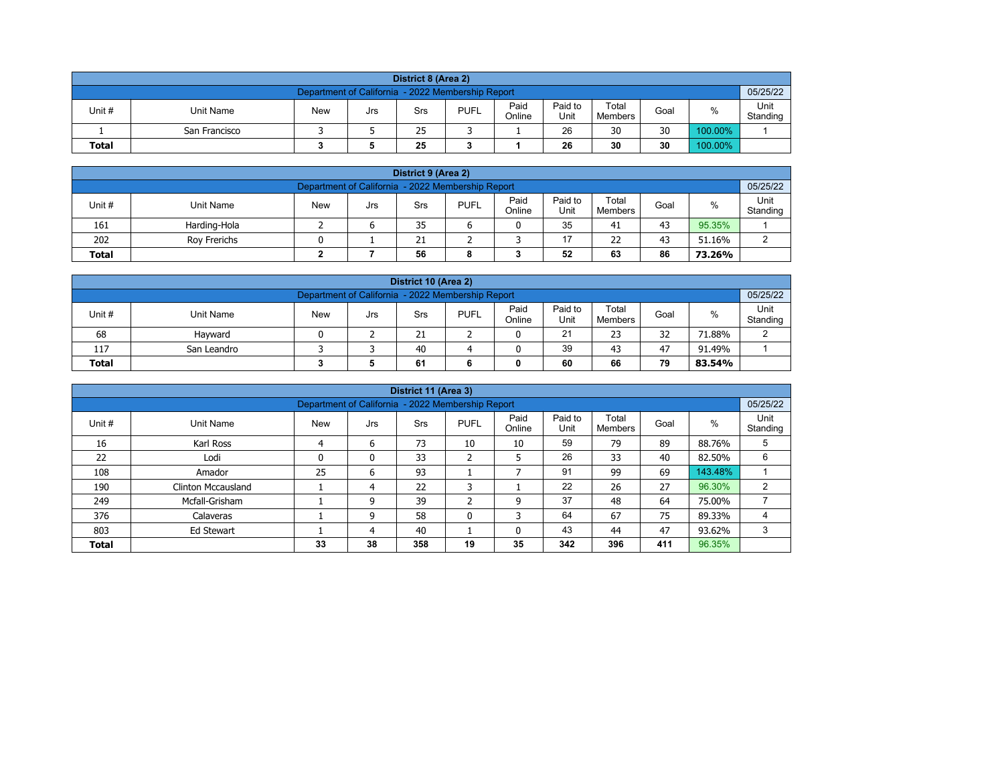| District 8 (Area 2)                                                                                                                  |                                                               |  |  |  |  |  |  |  |  |  |  |  |  |  |  |
|--------------------------------------------------------------------------------------------------------------------------------------|---------------------------------------------------------------|--|--|--|--|--|--|--|--|--|--|--|--|--|--|
|                                                                                                                                      | 05/25/22<br>Department of California - 2022 Membership Report |  |  |  |  |  |  |  |  |  |  |  |  |  |  |
| Paid<br>Paid to<br>Total<br><b>PUFL</b><br>%<br>Unit #<br>Unit Name<br>Goal<br><b>New</b><br>Srs<br>Jrs<br>Unit<br>Online<br>Members |                                                               |  |  |  |  |  |  |  |  |  |  |  |  |  |  |
|                                                                                                                                      | Standing<br>26<br>30<br>30<br>100.00%<br>25<br>San Francisco  |  |  |  |  |  |  |  |  |  |  |  |  |  |  |
| 30<br>30<br>100.00%<br>25<br>26<br><b>Total</b>                                                                                      |                                                               |  |  |  |  |  |  |  |  |  |  |  |  |  |  |

| District 9 (Area 2)                                                                                                                                     |              |  |  |    |  |  |    |    |    |        |  |  |  |  |
|---------------------------------------------------------------------------------------------------------------------------------------------------------|--------------|--|--|----|--|--|----|----|----|--------|--|--|--|--|
| Department of California - 2022 Membership Report                                                                                                       |              |  |  |    |  |  |    |    |    |        |  |  |  |  |
| Paid<br>Paid to<br>Total<br>Unit #<br><b>PUFL</b><br>%<br><b>New</b><br><b>Unit Name</b><br>Goal<br>Srs<br>Jrs<br>Standing<br>Online<br>Unit<br>Members |              |  |  |    |  |  |    |    |    |        |  |  |  |  |
| 161                                                                                                                                                     | Harding-Hola |  |  | 35 |  |  | 35 | 41 | 43 | 95.35% |  |  |  |  |
| 202<br>17<br>22<br>43<br>21<br>51.16%<br>Rov Frerichs<br>ົ                                                                                              |              |  |  |    |  |  |    |    |    |        |  |  |  |  |
| 52<br>86<br>56<br>63<br><b>Total</b><br>73.26%<br>8                                                                                                     |              |  |  |    |  |  |    |    |    |        |  |  |  |  |

| District 10 (Area 2)                                                                                                                                |                                               |  |  |    |  |  |    |    |    |        |        |  |  |  |
|-----------------------------------------------------------------------------------------------------------------------------------------------------|-----------------------------------------------|--|--|----|--|--|----|----|----|--------|--------|--|--|--|
| Department of California - 2022 Membership Report                                                                                                   |                                               |  |  |    |  |  |    |    |    |        |        |  |  |  |
| Paid<br>Paid to<br>Total<br>$\%$<br>Unit #<br><b>PUFL</b><br>Unit Name<br><b>New</b><br>Goal<br>Srs<br>Jrs<br>Online<br>Standing<br>Unit<br>Members |                                               |  |  |    |  |  |    |    |    |        |        |  |  |  |
| 68                                                                                                                                                  | Havward                                       |  |  | 21 |  |  | 21 | 23 | 32 | 71.88% | $\sim$ |  |  |  |
| 117                                                                                                                                                 | 39<br>40<br>47<br>43<br>91.49%<br>San Leandro |  |  |    |  |  |    |    |    |        |        |  |  |  |
| 79<br><b>Total</b><br>60<br>66<br>61<br>83.54%                                                                                                      |                                               |  |  |    |  |  |    |    |    |        |        |  |  |  |

|              |                                                               |            |     | District 11 (Area 3) |              |                |                 |                  |      |         |                  |  |  |  |  |
|--------------|---------------------------------------------------------------|------------|-----|----------------------|--------------|----------------|-----------------|------------------|------|---------|------------------|--|--|--|--|
|              | 05/25/22<br>Department of California - 2022 Membership Report |            |     |                      |              |                |                 |                  |      |         |                  |  |  |  |  |
| Unit #       | Unit Name                                                     | <b>New</b> | Jrs | <b>Srs</b>           | <b>PUFL</b>  | Paid<br>Online | Paid to<br>Unit | Total<br>Members | Goal | $\%$    | Unit<br>Standing |  |  |  |  |
| 16           | Karl Ross                                                     | 4          | 6   | 73                   | 10           | 10             | 59              | 79               | 89   | 88.76%  | 5                |  |  |  |  |
| 22           | Lodi                                                          | 0          | 0   | 33                   | h<br>∠       | 5              | 26              | 33               | 40   | 82.50%  | 6                |  |  |  |  |
| 108          | Amador                                                        | 25         | 6   | 93                   |              |                | 91              | 99               | 69   | 143.48% |                  |  |  |  |  |
| 190          | <b>Clinton Mccausland</b>                                     |            | 4   | 22                   | 3            |                | 22              | 26               | 27   | 96.30%  | 2                |  |  |  |  |
| 249          | Mcfall-Grisham                                                |            | 9   | 39                   | $\mathbf{r}$ | 9              | 37              | 48               | 64   | 75.00%  |                  |  |  |  |  |
| 376          | Calaveras                                                     |            | 9   | 58                   | $\mathbf{0}$ | 3              | 64              | 67               | 75   | 89.33%  |                  |  |  |  |  |
| 803          | 43<br>47<br>40<br>3<br>44<br>93.62%<br>Ed Stewart<br>0<br>4   |            |     |                      |              |                |                 |                  |      |         |                  |  |  |  |  |
| <b>Total</b> |                                                               | 33         | 38  | 358                  | 19           | 35             | 342             | 396              | 411  | 96.35%  |                  |  |  |  |  |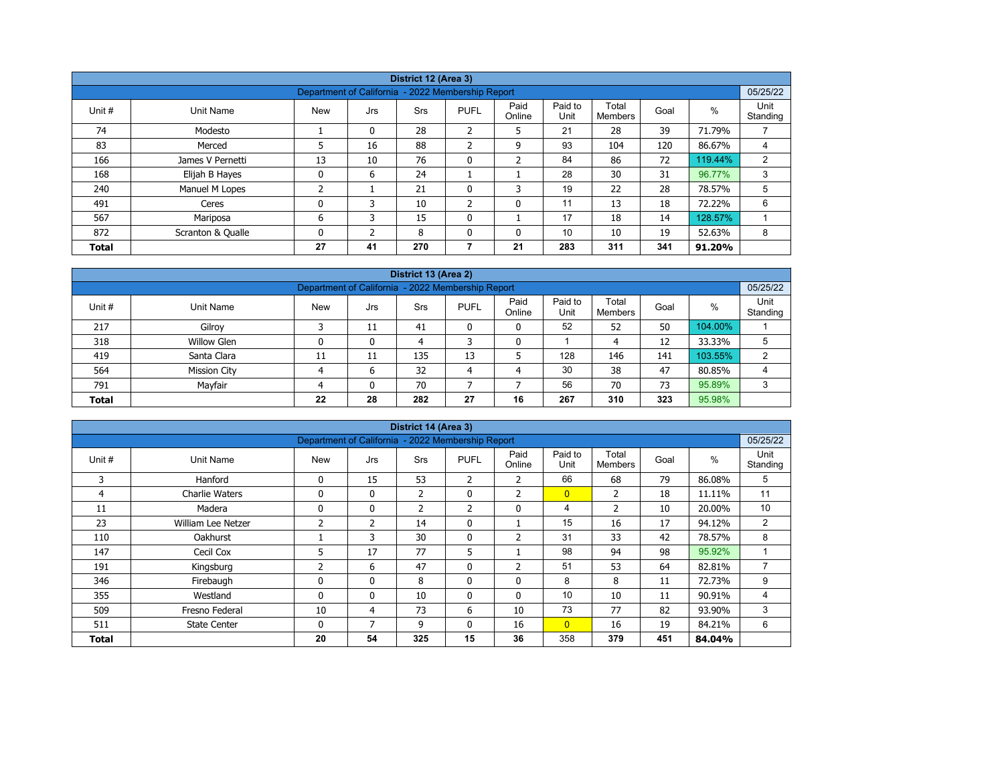|              |                   |                                                   |          | District 12 (Area 3) |                |                |                 |                  |      |         |                  |
|--------------|-------------------|---------------------------------------------------|----------|----------------------|----------------|----------------|-----------------|------------------|------|---------|------------------|
|              |                   | Department of California - 2022 Membership Report |          |                      |                |                |                 |                  |      |         | 05/25/22         |
| Unit #       | Unit Name         | <b>New</b>                                        | Jrs      | <b>Srs</b>           | <b>PUFL</b>    | Paid<br>Online | Paid to<br>Unit | Total<br>Members | Goal | %       | Unit<br>Standing |
| 74           | Modesto           |                                                   | $\Omega$ | 28                   | ำ<br>∠         | 5              | 21              | 28               | 39   | 71.79%  |                  |
| 83           | Merced            | 5                                                 | 16       | 88                   | $\overline{2}$ | 9              | 93              | 104              | 120  | 86.67%  | 4                |
| 166          | James V Pernetti  | 13                                                | 10       | 76                   | $\mathbf 0$    | $\overline{2}$ | 84              | 86               | 72   | 119.44% | 2                |
| 168          | Elijah B Hayes    | 0                                                 | 6        | 24                   |                |                | 28              | 30               | 31   | 96.77%  | 3                |
| 240          | Manuel M Lopes    | 2                                                 |          | 21                   | 0              | 3              | 19              | 22               | 28   | 78.57%  | 5                |
| 491          | Ceres             | 0                                                 | 3        | 10                   | $\overline{2}$ | 0              | 11              | 13               | 18   | 72.22%  | 6                |
| 567          | Mariposa          | 6                                                 | 3        | 15                   | $\mathbf{0}$   |                | 17              | 18               | 14   | 128.57% |                  |
| 872          | Scranton & Qualle | 0                                                 | C.       | 8                    | $\mathbf{0}$   | 0              | 10              | 10               | 19   | 52.63%  | 8                |
| <b>Total</b> |                   | 27                                                | 41       | 270                  | 7              | 21             | 283             | 311              | 341  | 91.20%  |                  |

| District 13 (Area 2)<br>05/25/22                                 |                                                                                                                                           |    |    |     |    |    |     |     |     |         |   |  |  |  |  |
|------------------------------------------------------------------|-------------------------------------------------------------------------------------------------------------------------------------------|----|----|-----|----|----|-----|-----|-----|---------|---|--|--|--|--|
| Department of California - 2022 Membership Report                |                                                                                                                                           |    |    |     |    |    |     |     |     |         |   |  |  |  |  |
| Unit#                                                            | Paid<br>Paid to<br>Total<br>$\%$<br><b>New</b><br><b>PUFL</b><br>Unit Name<br>Goal<br>Srs<br>Jrs<br>Standing<br>Online<br>Unit<br>Members |    |    |     |    |    |     |     |     |         |   |  |  |  |  |
| 217                                                              | Gilroy                                                                                                                                    |    | 11 | 41  |    | 0  | 52  | 52  | 50  | 104.00% |   |  |  |  |  |
| 318                                                              | <b>Willow Glen</b>                                                                                                                        |    | 0  | 4   |    | 0  |     | 4   | 12  | 33.33%  | 5 |  |  |  |  |
| 419                                                              | Santa Clara                                                                                                                               | 11 | 11 | 135 | 13 |    | 128 | 146 | 141 | 103.55% | 2 |  |  |  |  |
| 564                                                              | <b>Mission City</b>                                                                                                                       |    | 6  | 32  | 4  | 4  | 30  | 38  | 47  | 80.85%  | 4 |  |  |  |  |
| Mayfair<br>56<br>95.89%<br>70<br>73<br>791<br>70<br>$\mathbf{0}$ |                                                                                                                                           |    |    |     |    |    |     |     |     |         |   |  |  |  |  |
| <b>Total</b>                                                     |                                                                                                                                           | 22 | 28 | 282 | 27 | 16 | 267 | 310 | 323 | 95.98%  |   |  |  |  |  |

|              |                       |                                                   |                | District 14 (Area 3) |                |                |                 |                         |      |        |                  |
|--------------|-----------------------|---------------------------------------------------|----------------|----------------------|----------------|----------------|-----------------|-------------------------|------|--------|------------------|
|              |                       | Department of California - 2022 Membership Report |                |                      |                |                |                 |                         |      |        | 05/25/22         |
| Unit #       | Unit Name             | <b>New</b>                                        | Jrs            | <b>Srs</b>           | <b>PUFL</b>    | Paid<br>Online | Paid to<br>Unit | Total<br><b>Members</b> | Goal | %      | Unit<br>Standing |
| 3            | Hanford               | $\mathbf{0}$                                      | 15             | 53                   | $\overline{2}$ | $\overline{2}$ | 66              | 68                      | 79   | 86.08% | 5                |
| 4            | <b>Charlie Waters</b> | 0                                                 | $\mathbf{0}$   | $\overline{2}$       | 0              | $\overline{2}$ | $\overline{0}$  | 2                       | 18   | 11.11% | 11               |
| 11           | Madera                | 0                                                 | 0              | $\overline{2}$       | 2              | 0              | 4               | $\overline{2}$          | 10   | 20.00% | 10               |
| 23           | William Lee Netzer    | $\overline{2}$                                    | $\overline{2}$ | 14                   | $\mathbf{0}$   |                | 15              | 16                      | 17   | 94.12% | 2                |
| 110          | Oakhurst              |                                                   | 3              | 30                   | 0              | $\overline{2}$ | 31              | 33                      | 42   | 78.57% | 8                |
| 147          | Cecil Cox             | 5                                                 | 17             | 77                   | 5              |                | 98              | 94                      | 98   | 95.92% |                  |
| 191          | Kingsburg             | 2                                                 | 6              | 47                   | $\mathbf{0}$   | $\overline{2}$ | 51              | 53                      | 64   | 82.81% | 7                |
| 346          | Firebaugh             | 0                                                 | 0              | 8                    | 0              | 0              | 8               | 8                       | 11   | 72.73% | 9                |
| 355          | Westland              | 0                                                 | $\mathbf{0}$   | 10                   | $\mathbf{0}$   | $\mathbf{0}$   | 10              | 10                      | 11   | 90.91% | 4                |
| 509          | Fresno Federal        | 10                                                | 4              | 73                   | 6              | 10             | 73              | 77                      | 82   | 93.90% | 3                |
| 511          | <b>State Center</b>   | $\mathbf{0}$                                      | 7              | 9                    | $\mathbf{0}$   | 16             | $\overline{0}$  | 16                      | 19   | 84.21% | 6                |
| <b>Total</b> |                       | 20                                                | 54             | 325                  | 15             | 36             | 358             | 379                     | 451  | 84.04% |                  |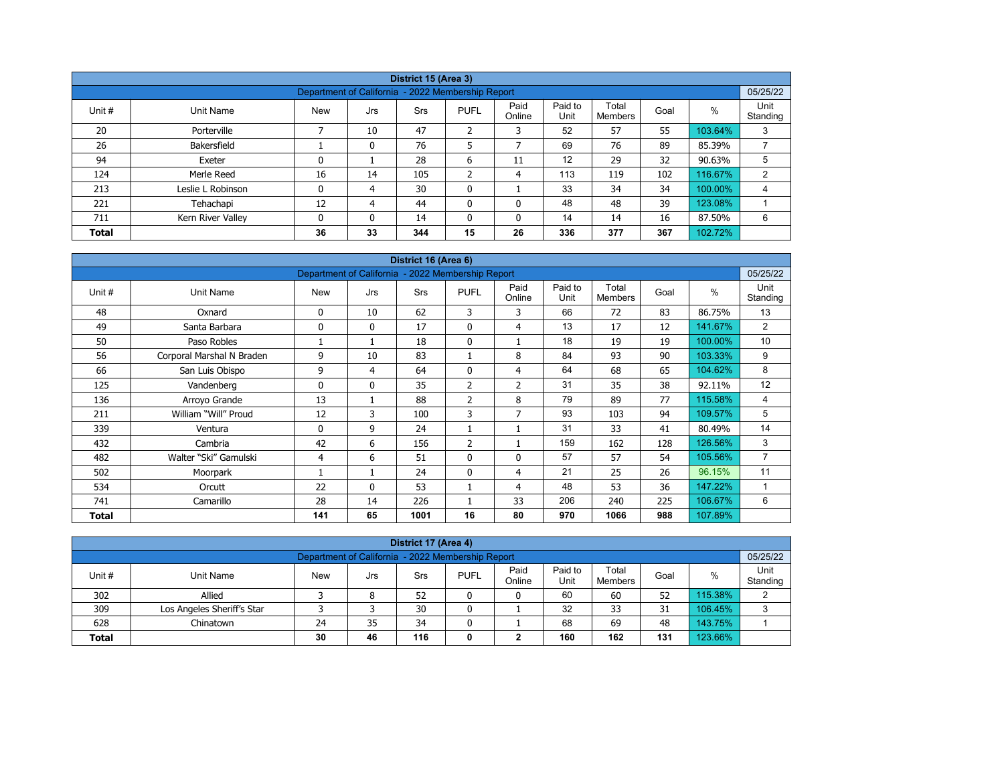|              |                   |                                                   |          | District 15 (Area 3) |                |                |                 |                  |      |         |                  |
|--------------|-------------------|---------------------------------------------------|----------|----------------------|----------------|----------------|-----------------|------------------|------|---------|------------------|
|              |                   | Department of California - 2022 Membership Report |          |                      |                |                |                 |                  |      |         | 05/25/22         |
| Unit #       | Unit Name         | <b>New</b>                                        | Jrs      | Srs                  | <b>PUFL</b>    | Paid<br>Online | Paid to<br>Unit | Total<br>Members | Goal | %       | Unit<br>Standing |
| 20           | Porterville       |                                                   | 10       | 47                   | $\overline{2}$ | 3              | 52              | 57               | 55   | 103.64% | 3                |
| 26           | Bakersfield       |                                                   | 0        | 76                   | 5              | ⇁              | 69              | 76               | 89   | 85.39%  | ⇁                |
| 94           | Exeter            | 0                                                 |          | 28                   | 6              | 11             | 12              | 29               | 32   | 90.63%  | 5                |
| 124          | Merle Reed        | 16                                                | 14       | 105                  | C<br>∠         | 4              | 113             | 119              | 102  | 116.67% | $\overline{2}$   |
| 213          | Leslie L Robinson | 0                                                 | 4        | 30                   | 0              |                | 33              | 34               | 34   | 100.00% | 4                |
| 221          | Tehachapi         | 12                                                | 4        | 44                   | 0              | $\mathbf{0}$   | 48              | 48               | 39   | 123.08% |                  |
| 711          | Kern River Valley | 0                                                 | $\Omega$ | 14                   | $\mathbf{0}$   | 0              | 14              | 14               | 16   | 87.50%  | 6                |
| <b>Total</b> |                   | 36                                                | 33       | 344                  | 15             | 26             | 336             | 377              | 367  | 102.72% |                  |

| District 16 (Area 6)<br>Department of California - 2022 Membership Report |                           |            |              |      |                |                |                 |                         |      |         |                  |  |  |
|---------------------------------------------------------------------------|---------------------------|------------|--------------|------|----------------|----------------|-----------------|-------------------------|------|---------|------------------|--|--|
|                                                                           |                           |            |              |      |                |                |                 |                         |      |         | 05/25/22         |  |  |
| Unit #                                                                    | Unit Name                 | <b>New</b> | Jrs          | Srs  | <b>PUFL</b>    | Paid<br>Online | Paid to<br>Unit | Total<br><b>Members</b> | Goal | %       | Unit<br>Standing |  |  |
| 48                                                                        | Oxnard                    | 0          | 10           | 62   | 3              | 3              | 66              | 72                      | 83   | 86.75%  | 13               |  |  |
| 49                                                                        | Santa Barbara             | 0          | $\mathbf{0}$ | 17   | $\mathbf{0}$   | 4              | 13              | 17                      | 12   | 141.67% | 2                |  |  |
| 50                                                                        | Paso Robles               |            | 1            | 18   | $\mathbf 0$    |                | 18              | 19                      | 19   | 100.00% | 10               |  |  |
| 56                                                                        | Corporal Marshal N Braden | 9          | 10           | 83   |                | 8              | 84              | 93                      | 90   | 103.33% | 9                |  |  |
| 66                                                                        | San Luis Obispo           | 9          | 4            | 64   | $\mathbf{0}$   | 4              | 64              | 68                      | 65   | 104.62% | 8                |  |  |
| 125                                                                       | Vandenberg                | 0          | $\mathbf{0}$ | 35   | 2              | $\overline{2}$ | 31              | 35                      | 38   | 92.11%  | 12               |  |  |
| 136                                                                       | Arroyo Grande             | 13         | 1            | 88   | $\overline{2}$ | 8              | 79              | 89                      | 77   | 115.58% | 4                |  |  |
| 211                                                                       | William "Will" Proud      | 12         | 3            | 100  | 3              | 7              | 93              | 103                     | 94   | 109.57% | 5                |  |  |
| 339                                                                       | Ventura                   | 0          | 9            | 24   |                |                | 31              | 33                      | 41   | 80.49%  | 14               |  |  |
| 432                                                                       | Cambria                   | 42         | 6            | 156  | $\overline{2}$ |                | 159             | 162                     | 128  | 126.56% | 3                |  |  |
| 482                                                                       | Walter "Ski" Gamulski     | 4          | 6            | 51   | $\mathbf{0}$   | $\Omega$       | 57              | 57                      | 54   | 105.56% | $\overline{7}$   |  |  |
| 502                                                                       | Moorpark                  |            | 1            | 24   | $\mathbf{0}$   | $\overline{4}$ | 21              | 25                      | 26   | 96.15%  | 11               |  |  |
| 534                                                                       | Orcutt                    | 22         | $\mathbf{0}$ | 53   |                | 4              | 48              | 53                      | 36   | 147.22% | 1                |  |  |
| 741                                                                       | Camarillo                 | 28         | 14           | 226  |                | 33             | 206             | 240                     | 225  | 106.67% | 6                |  |  |
| <b>Total</b>                                                              |                           | 141        | 65           | 1001 | 16             | 80             | 970             | 1066                    | 988  | 107.89% |                  |  |  |

| District 17 (Area 4)                                                                                                                                     |                            |    |    |    |  |   |    |    |    |         |   |  |  |  |
|----------------------------------------------------------------------------------------------------------------------------------------------------------|----------------------------|----|----|----|--|---|----|----|----|---------|---|--|--|--|
| Department of California - 2022 Membership Report<br>05/25/22                                                                                            |                            |    |    |    |  |   |    |    |    |         |   |  |  |  |
| Paid to<br>Unit<br>Paid<br>Total<br><b>PUFL</b><br>Unit #<br><b>New</b><br>%<br>Goal<br>Unit Name<br>Srs<br>Jrs<br>Unit<br>Standing<br>Online<br>Members |                            |    |    |    |  |   |    |    |    |         |   |  |  |  |
| 302                                                                                                                                                      | Allied                     |    | 8  | 52 |  | 0 | 60 | 60 | 52 | 115.38% | ົ |  |  |  |
| 309                                                                                                                                                      | Los Angeles Sheriff's Star |    |    | 30 |  |   | 32 | 33 | 31 | 106.45% | 3 |  |  |  |
| 628                                                                                                                                                      | Chinatown                  | 24 | 35 | 34 |  |   | 68 | 69 | 48 | 143.75% |   |  |  |  |
| 160<br>123.66%<br>116<br>162<br>30<br>131<br>46<br><b>Total</b><br>◠<br>0<br>∠                                                                           |                            |    |    |    |  |   |    |    |    |         |   |  |  |  |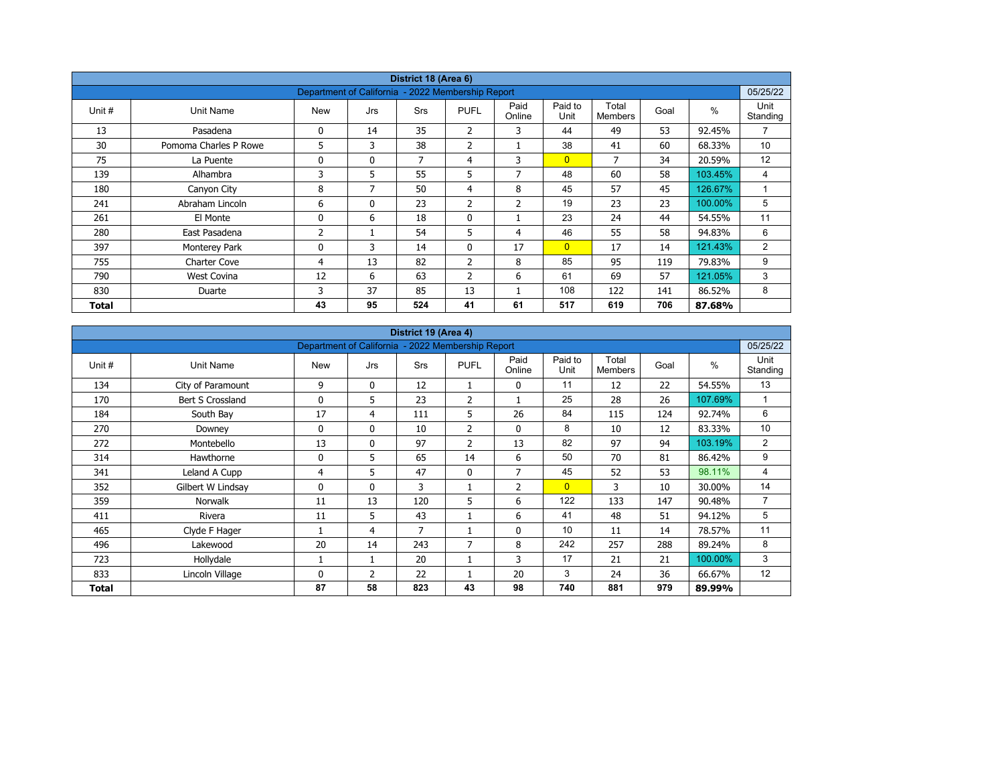|        |                       |                                                   |              | District 18 (Area 6) |                |                |                 |                  |      |         |                  |
|--------|-----------------------|---------------------------------------------------|--------------|----------------------|----------------|----------------|-----------------|------------------|------|---------|------------------|
|        |                       | Department of California - 2022 Membership Report |              |                      |                |                |                 |                  |      |         | 05/25/22         |
| Unit # | Unit Name             | <b>New</b>                                        | Jrs          | <b>Srs</b>           | <b>PUFL</b>    | Paid<br>Online | Paid to<br>Unit | Total<br>Members | Goal | $\%$    | Unit<br>Standing |
| 13     | Pasadena              | 0                                                 | 14           | 35                   | $\overline{2}$ | 3              | 44              | 49               | 53   | 92.45%  | $\overline{7}$   |
| 30     | Pomoma Charles P Rowe | 5                                                 | 3            | 38                   | $\overline{2}$ |                | 38              | 41               | 60   | 68.33%  | 10 <sup>°</sup>  |
| 75     | La Puente             | 0                                                 | $\mathbf{0}$ | 7                    | 4              | 3              | $\overline{0}$  | 7                | 34   | 20.59%  | 12               |
| 139    | Alhambra              | 3                                                 | 5            | 55                   | 5              | 7              | 48              | 60               | 58   | 103.45% | 4                |
| 180    | Canyon City           | 8                                                 | 7            | 50                   | $\overline{4}$ | 8              | 45              | 57               | 45   | 126.67% | $\overline{A}$   |
| 241    | Abraham Lincoln       | 6                                                 | $\mathbf{0}$ | 23                   | 2              | $\overline{2}$ | 19              | 23               | 23   | 100.00% | 5                |
| 261    | El Monte              | 0                                                 | 6            | 18                   | $\mathbf 0$    |                | 23              | 24               | 44   | 54.55%  | 11               |
| 280    | East Pasadena         | 2                                                 |              | 54                   | 5              | 4              | 46              | 55               | 58   | 94.83%  | 6                |
| 397    | Monterey Park         | 0                                                 | 3            | 14                   | $\mathbf{0}$   | 17             | $\overline{0}$  | 17               | 14   | 121.43% | $\overline{2}$   |
| 755    | <b>Charter Cove</b>   | 4                                                 | 13           | 82                   | $\overline{2}$ | 8              | 85              | 95               | 119  | 79.83%  | 9                |
| 790    | <b>West Covina</b>    | 12                                                | 6            | 63                   | $\overline{2}$ | 6              | 61              | 69               | 57   | 121.05% | 3                |
| 830    | Duarte                | 3                                                 | 37           | 85                   | 13             |                | 108             | 122              | 141  | 86.52%  | 8                |
| Total  |                       | 43                                                | 95           | 524                  | 41             | 61             | 517             | 619              | 706  | 87.68%  |                  |

| District 19 (Area 4)<br>Department of California - 2022 Membership Report |                   |            |              |     |                |                |                 |                         |      |               |                  |  |  |
|---------------------------------------------------------------------------|-------------------|------------|--------------|-----|----------------|----------------|-----------------|-------------------------|------|---------------|------------------|--|--|
|                                                                           |                   |            |              |     |                |                |                 |                         |      |               | 05/25/22         |  |  |
| Unit #                                                                    | Unit Name         | <b>New</b> | Jrs          | Srs | <b>PUFL</b>    | Paid<br>Online | Paid to<br>Unit | Total<br><b>Members</b> | Goal | $\frac{0}{0}$ | Unit<br>Standing |  |  |
| 134                                                                       | City of Paramount | 9          | $\mathbf{0}$ | 12  | 1              | 0              | 11              | 12                      | 22   | 54.55%        | 13               |  |  |
| 170                                                                       | Bert S Crossland  | 0          | 5            | 23  | $\overline{2}$ |                | 25              | 28                      | 26   | 107.69%       | $\mathbf{1}$     |  |  |
| 184                                                                       | South Bay         | 17         | 4            | 111 | 5              | 26             | 84              | 115                     | 124  | 92.74%        | 6                |  |  |
| 270                                                                       | Downey            | 0          | $\mathbf{0}$ | 10  | $\overline{2}$ | 0              | 8               | 10                      | 12   | 83.33%        | 10               |  |  |
| 272                                                                       | Montebello        | 13         | $\mathbf{0}$ | 97  | $\overline{2}$ | 13             | 82              | 97                      | 94   | 103.19%       | 2                |  |  |
| 314                                                                       | Hawthorne         | 0          | 5            | 65  | 14             | 6              | 50              | 70                      | 81   | 86.42%        | 9                |  |  |
| 341                                                                       | Leland A Cupp     | 4          | 5            | 47  | $\mathbf{0}$   | $\overline{7}$ | 45              | 52                      | 53   | 98.11%        | 4                |  |  |
| 352                                                                       | Gilbert W Lindsay | 0          | $\mathbf{0}$ | 3   |                | $\overline{2}$ | $\overline{0}$  | 3                       | 10   | 30.00%        | 14               |  |  |
| 359                                                                       | <b>Norwalk</b>    | 11         | 13           | 120 | 5              | 6              | 122             | 133                     | 147  | 90.48%        | $\overline{7}$   |  |  |
| 411                                                                       | Rivera            | 11         | 5            | 43  |                | 6              | 41              | 48                      | 51   | 94.12%        | 5                |  |  |
| 465                                                                       | Clyde F Hager     |            | 4            | 7   |                | $\mathbf 0$    | 10              | 11                      | 14   | 78.57%        | 11               |  |  |
| 496                                                                       | Lakewood          | 20         | 14           | 243 | 7              | 8              | 242             | 257                     | 288  | 89.24%        | 8                |  |  |
| 723                                                                       | Hollydale         |            | 1            | 20  |                | 3              | 17              | 21                      | 21   | 100.00%       | 3                |  |  |
| 833                                                                       | Lincoln Village   | 0          | 2            | 22  |                | 20             | 3               | 24                      | 36   | 66.67%        | 12               |  |  |
| Total                                                                     |                   | 87         | 58           | 823 | 43             | 98             | 740             | 881                     | 979  | 89.99%        |                  |  |  |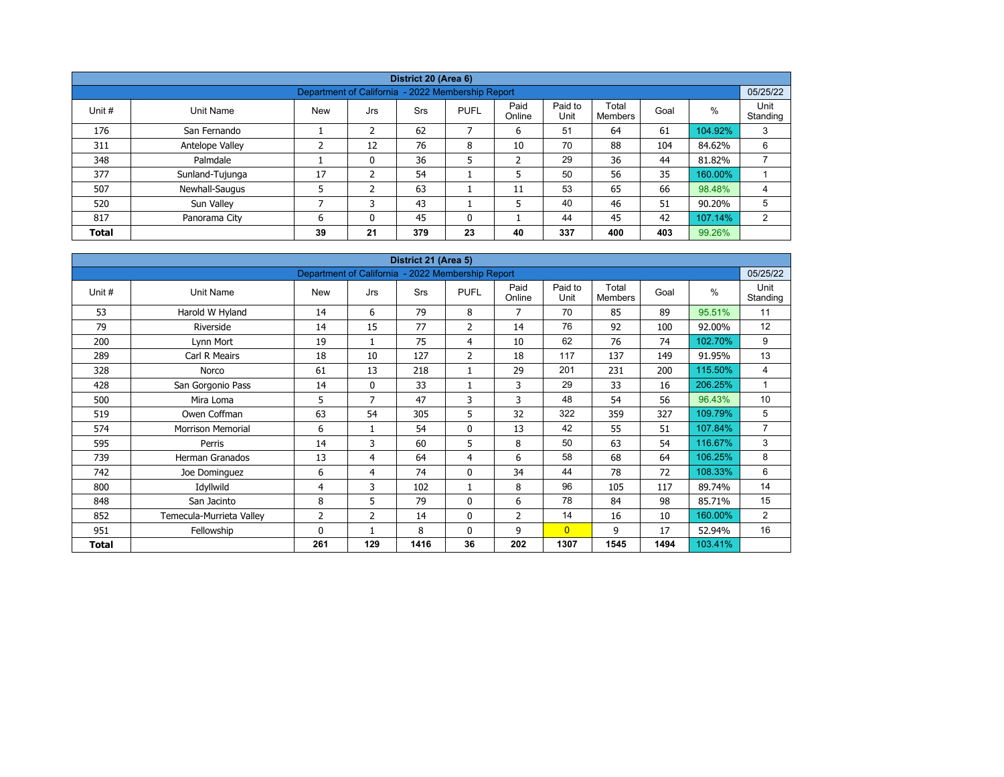|              |                 |                                                   |     | District 20 (Area 6) |              |                |                 |                  |      |         |                  |
|--------------|-----------------|---------------------------------------------------|-----|----------------------|--------------|----------------|-----------------|------------------|------|---------|------------------|
|              |                 | Department of California - 2022 Membership Report |     |                      |              |                |                 |                  |      |         | 05/25/22         |
| Unit #       | Unit Name       | <b>New</b>                                        | Jrs | <b>Srs</b>           | <b>PUFL</b>  | Paid<br>Online | Paid to<br>Unit | Total<br>Members | Goal | %       | Unit<br>Standing |
| 176          | San Fernando    |                                                   | 2   | 62                   | 7            | 6              | 51              | 64               | 61   | 104.92% | 3                |
| 311          | Antelope Valley | ∍                                                 | 12  | 76                   | 8            | 10             | 70              | 88               | 104  | 84.62%  | 6                |
| 348          | Palmdale        |                                                   | 0   | 36                   | 5            | $\overline{2}$ | 29              | 36               | 44   | 81.82%  |                  |
| 377          | Sunland-Tujunga | 17                                                | ຳ   | 54                   |              | 5              | 50              | 56               | 35   | 160.00% |                  |
| 507          | Newhall-Saugus  |                                                   | 2   | 63                   |              | 11             | 53              | 65               | 66   | 98.48%  | 4                |
| 520          | Sun Valley      | ⇁                                                 |     | 43                   |              | 5              | 40              | 46               | 51   | 90.20%  | 5                |
| 817          | Panorama City   | 6                                                 | 0   | 45                   | $\mathbf{0}$ |                | 44              | 45               | 42   | 107.14% | 2                |
| <b>Total</b> |                 | 39                                                | 21  | 379                  | 23           | 40             | 337             | 400              | 403  | 99.26%  |                  |

|              |                          |                                                   |                | District 21 (Area 5) |                |                |                 |                         |      |               |                  |
|--------------|--------------------------|---------------------------------------------------|----------------|----------------------|----------------|----------------|-----------------|-------------------------|------|---------------|------------------|
|              |                          | Department of California - 2022 Membership Report |                |                      |                |                |                 |                         |      |               | 05/25/22         |
| Unit #       | Unit Name                | <b>New</b>                                        | Jrs            | Srs                  | <b>PUFL</b>    | Paid<br>Online | Paid to<br>Unit | Total<br><b>Members</b> | Goal | $\frac{0}{0}$ | Unit<br>Standing |
| 53           | Harold W Hyland          | 14                                                | 6              | 79                   | 8              | $\overline{7}$ | 70              | 85                      | 89   | 95.51%        | 11               |
| 79           | Riverside                | 14                                                | 15             | 77                   | $\overline{2}$ | 14             | 76              | 92                      | 100  | 92.00%        | 12               |
| 200          | Lynn Mort                | 19                                                | 1              | 75                   | $\overline{4}$ | 10             | 62              | 76                      | 74   | 102.70%       | 9                |
| 289          | Carl R Meairs            | 18                                                | 10             | 127                  | 2              | 18             | 117             | 137                     | 149  | 91.95%        | 13               |
| 328          | Norco                    | 61                                                | 13             | 218                  | 1              | 29             | 201             | 231                     | 200  | 115.50%       | 4                |
| 428          | San Gorgonio Pass        | 14                                                | $\mathbf{0}$   | 33                   |                | 3              | 29              | 33                      | 16   | 206.25%       | $\mathbf{1}$     |
| 500          | Mira Loma                | 5                                                 | $\overline{7}$ | 47                   | 3              | 3              | 48              | 54                      | 56   | 96.43%        | 10               |
| 519          | Owen Coffman             | 63                                                | 54             | 305                  | 5              | 32             | 322             | 359                     | 327  | 109.79%       | 5                |
| 574          | <b>Morrison Memorial</b> | 6                                                 | 1              | 54                   | $\mathbf 0$    | 13             | 42              | 55                      | 51   | 107.84%       | $\overline{7}$   |
| 595          | Perris                   | 14                                                | 3              | 60                   | 5              | 8              | 50              | 63                      | 54   | 116.67%       | 3                |
| 739          | Herman Granados          | 13                                                | 4              | 64                   | 4              | 6              | 58              | 68                      | 64   | 106.25%       | 8                |
| 742          | Joe Dominguez            | 6                                                 | $\overline{a}$ | 74                   | $\mathbf 0$    | 34             | 44              | 78                      | 72   | 108.33%       | 6                |
| 800          | Idyllwild                | 4                                                 | 3              | 102                  | 1              | 8              | 96              | 105                     | 117  | 89.74%        | 14               |
| 848          | San Jacinto              | 8                                                 | 5              | 79                   | $\mathbf 0$    | 6              | 78              | 84                      | 98   | 85.71%        | 15               |
| 852          | Temecula-Murrieta Valley | $\overline{2}$                                    | 2              | 14                   | $\mathbf 0$    | $\overline{2}$ | 14              | 16                      | 10   | 160.00%       | $\overline{2}$   |
| 951          | Fellowship               | $\Omega$                                          |                | 8                    | $\mathbf{0}$   | 9              | $\overline{0}$  | 9                       | 17   | 52.94%        | 16               |
| <b>Total</b> |                          | 261                                               | 129            | 1416                 | 36             | 202            | 1307            | 1545                    | 1494 | 103.41%       |                  |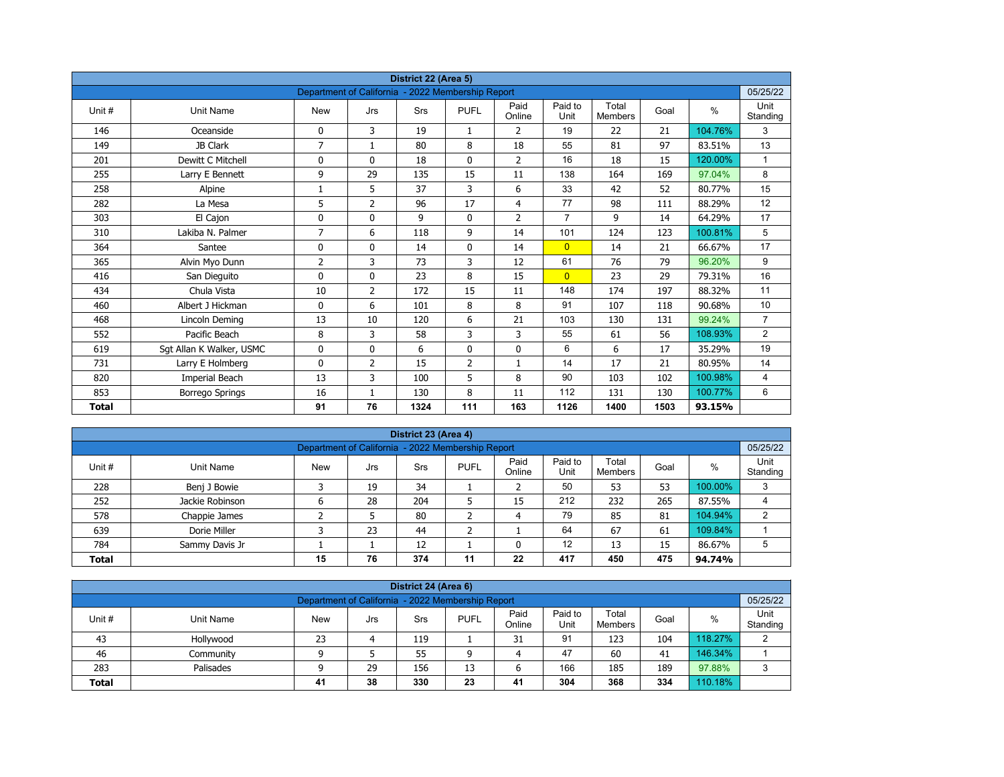|              |                          |                                                   |                | District 22 (Area 5) |                |                |                 |                         |      |               |                  |
|--------------|--------------------------|---------------------------------------------------|----------------|----------------------|----------------|----------------|-----------------|-------------------------|------|---------------|------------------|
|              |                          | Department of California - 2022 Membership Report |                |                      |                |                |                 |                         |      |               | 05/25/22         |
| Unit#        | <b>Unit Name</b>         | <b>New</b>                                        | Jrs            | Srs                  | <b>PUFL</b>    | Paid<br>Online | Paid to<br>Unit | Total<br><b>Members</b> | Goal | $\frac{0}{0}$ | Unit<br>Standing |
| 146          | Oceanside                | 0                                                 | 3              | 19                   | 1              | 2              | 19              | 22                      | 21   | 104.76%       | 3                |
| 149          | JB Clark                 | $\overline{7}$                                    | $\mathbf{1}$   | 80                   | 8              | 18             | 55              | 81                      | 97   | 83.51%        | 13               |
| 201          | Dewitt C Mitchell        | 0                                                 | $\mathbf{0}$   | 18                   | $\mathbf{0}$   | $\overline{2}$ | 16              | 18                      | 15   | 120.00%       | $\mathbf{1}$     |
| 255          | Larry E Bennett          | 9                                                 | 29             | 135                  | 15             | 11             | 138             | 164                     | 169  | 97.04%        | 8                |
| 258          | Alpine                   | $\mathbf{1}$                                      | 5              | 37                   | 3              | 6              | 33              | 42                      | 52   | 80.77%        | 15               |
| 282          | La Mesa                  | 5                                                 | $\overline{2}$ | 96                   | 17             | $\overline{4}$ | 77              | 98                      | 111  | 88.29%        | 12               |
| 303          | El Cajon                 | 0                                                 | $\mathbf 0$    | 9                    | $\mathbf{0}$   | $\overline{2}$ | $\overline{7}$  | 9                       | 14   | 64.29%        | 17               |
| 310          | Lakiba N. Palmer         | 7                                                 | 6              | 118                  | 9              | 14             | 101             | 124                     | 123  | 100.81%       | 5                |
| 364          | Santee                   | 0                                                 | $\mathbf{0}$   | 14                   | $\mathbf{0}$   | 14             | $\overline{0}$  | 14                      | 21   | 66.67%        | 17               |
| 365          | Alvin Myo Dunn           | 2                                                 | 3              | 73                   | 3              | 12             | 61              | 76                      | 79   | 96.20%        | 9                |
| 416          | San Dieguito             | 0                                                 | $\mathbf{0}$   | 23                   | 8              | 15             | $\overline{0}$  | 23                      | 29   | 79.31%        | 16               |
| 434          | Chula Vista              | 10                                                | $\overline{2}$ | 172                  | 15             | 11             | 148             | 174                     | 197  | 88.32%        | 11               |
| 460          | Albert J Hickman         | 0                                                 | 6              | 101                  | 8              | 8              | 91              | 107                     | 118  | 90.68%        | 10               |
| 468          | Lincoln Deming           | 13                                                | 10             | 120                  | 6              | 21             | 103             | 130                     | 131  | 99.24%        | $\overline{7}$   |
| 552          | Pacific Beach            | 8                                                 | 3              | 58                   | 3              | 3              | 55              | 61                      | 56   | 108.93%       | 2                |
| 619          | Sgt Allan K Walker, USMC | 0                                                 | $\mathbf 0$    | 6                    | 0              | $\mathbf 0$    | 6               | 6                       | 17   | 35.29%        | 19               |
| 731          | Larry E Holmberg         | 0                                                 | $\overline{2}$ | 15                   | $\overline{2}$ | $\mathbf{1}$   | 14              | 17                      | 21   | 80.95%        | 14               |
| 820          | Imperial Beach           | 13                                                | 3              | 100                  | 5              | 8              | 90              | 103                     | 102  | 100.98%       | 4                |
| 853          | Borrego Springs          | 16                                                | $\mathbf{1}$   | 130                  | 8              | 11             | 112             | 131                     | 130  | 100.77%       | 6                |
| <b>Total</b> |                          | 91                                                | 76             | 1324                 | 111            | 163            | 1126            | 1400                    | 1503 | 93.15%        |                  |

|              |                                                                                                                                                          |                                                   |    | District 23 (Area 4) |    |    |     |     |     |         |          |  |
|--------------|----------------------------------------------------------------------------------------------------------------------------------------------------------|---------------------------------------------------|----|----------------------|----|----|-----|-----|-----|---------|----------|--|
|              |                                                                                                                                                          | Department of California - 2022 Membership Report |    |                      |    |    |     |     |     |         | 05/25/22 |  |
| Unit #       | Paid<br>Paid to<br>Total<br>Unit<br>$\%$<br><b>PUFL</b><br>Goal<br>Unit Name<br><b>New</b><br><b>Srs</b><br>Jrs<br>Unit<br>Standing<br>Online<br>Members |                                                   |    |                      |    |    |     |     |     |         |          |  |
| 228          | Benj J Bowie                                                                                                                                             |                                                   | 19 | 34                   |    |    | 50  | 53  | 53  | 100.00% | 3        |  |
| 252          | Jackie Robinson                                                                                                                                          | ь                                                 | 28 | 204                  |    | 15 | 212 | 232 | 265 | 87.55%  | 4        |  |
| 578          | Chappie James                                                                                                                                            |                                                   |    | 80                   |    | 4  | 79  | 85  | 81  | 104.94% | 2        |  |
| 639          | Dorie Miller                                                                                                                                             |                                                   | 23 | 44                   | ╮  |    | 64  | 67  | 61  | 109.84% |          |  |
| 784          | Sammy Davis Jr                                                                                                                                           |                                                   |    | 12                   |    |    | 12  | 13  | 15  | 86.67%  | 5        |  |
| <b>Total</b> |                                                                                                                                                          | 15                                                | 76 | 374                  | 11 | 22 | 417 | 450 | 475 | 94.74%  |          |  |

| District 24 (Area 6) |                                                                                                                                                |    |    |     |    |    |     |     |     |         |   |  |  |  |
|----------------------|------------------------------------------------------------------------------------------------------------------------------------------------|----|----|-----|----|----|-----|-----|-----|---------|---|--|--|--|
|                      | 05/25/22<br>Department of California - 2022 Membership Report                                                                                  |    |    |     |    |    |     |     |     |         |   |  |  |  |
| Unit #               | Paid to<br>Unit<br>Paid<br>Total<br><b>PUFL</b><br>%<br>Goal<br>Unit Name<br>Srs<br><b>New</b><br>Jrs<br>Standing<br>Online<br>Unit<br>Members |    |    |     |    |    |     |     |     |         |   |  |  |  |
| 43                   | Hollywood                                                                                                                                      | 23 | 4  | 119 |    | 31 | 91  | 123 | 104 | 118.27% | ົ |  |  |  |
| 46                   | Community                                                                                                                                      |    |    | 55  | a  |    | 47  | 60  | 41  | 146.34% |   |  |  |  |
| 283                  | Palisades                                                                                                                                      |    | 29 | 156 | 13 | ь  | 166 | 185 | 189 | 97.88%  | ာ |  |  |  |
| <b>Total</b>         | 110.18%<br>38<br>330<br>23<br>304<br>368<br>334<br>41<br>41                                                                                    |    |    |     |    |    |     |     |     |         |   |  |  |  |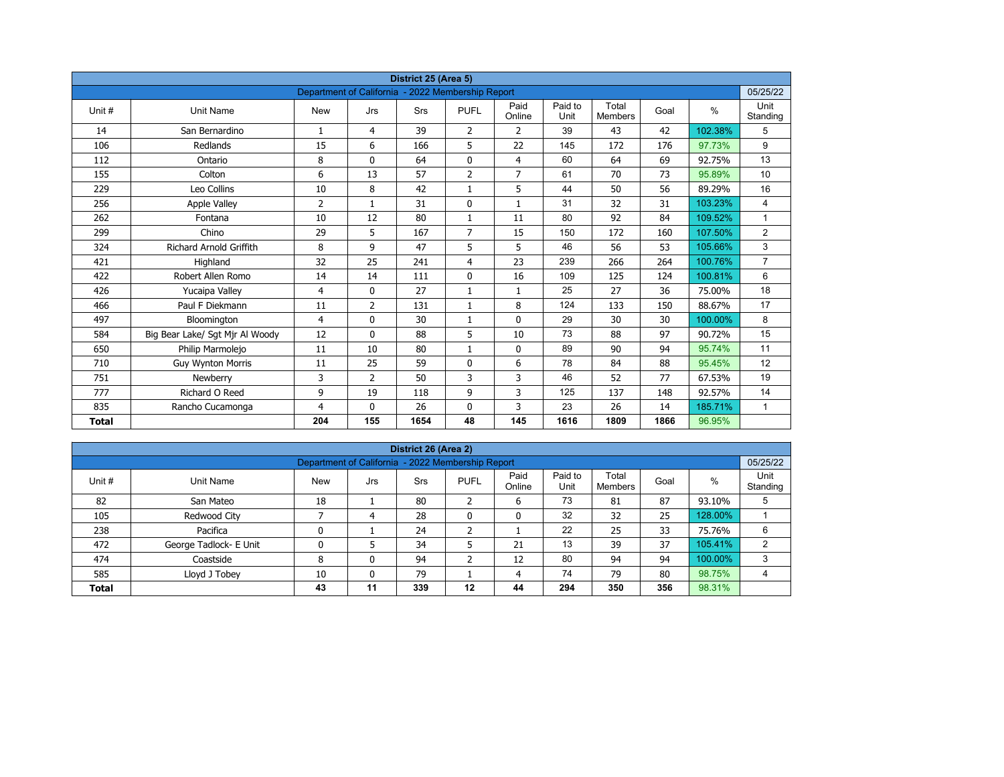|              |                                 |                                                   |                | District 25 (Area 5) |                |                |                 |                         |      |         |                  |
|--------------|---------------------------------|---------------------------------------------------|----------------|----------------------|----------------|----------------|-----------------|-------------------------|------|---------|------------------|
|              |                                 | Department of California - 2022 Membership Report |                |                      |                |                |                 |                         |      |         | 05/25/22         |
| Unit #       | Unit Name                       | <b>New</b>                                        | Jrs            | <b>Srs</b>           | <b>PUFL</b>    | Paid<br>Online | Paid to<br>Unit | Total<br><b>Members</b> | Goal | $\%$    | Unit<br>Standing |
| 14           | San Bernardino                  | $\mathbf{1}$                                      | 4              | 39                   | $\overline{2}$ | $\overline{2}$ | 39              | 43                      | 42   | 102.38% | 5                |
| 106          | Redlands                        | 15                                                | 6              | 166                  | 5              | 22             | 145             | 172                     | 176  | 97.73%  | 9                |
| 112          | Ontario                         | 8                                                 | $\Omega$       | 64                   | $\mathbf 0$    | $\overline{4}$ | 60              | 64                      | 69   | 92.75%  | 13               |
| 155          | Colton                          | 6                                                 | 13             | 57                   | $\overline{2}$ | $\overline{7}$ | 61              | 70                      | 73   | 95.89%  | 10               |
| 229          | Leo Collins                     | 10                                                | 8              | 42                   | $\mathbf{1}$   | 5              | 44              | 50                      | 56   | 89.29%  | 16               |
| 256          | <b>Apple Valley</b>             | 2                                                 | $\mathbf{1}$   | 31                   | $\mathbf{0}$   | $\mathbf{1}$   | 31              | 32                      | 31   | 103.23% | $\overline{4}$   |
| 262          | Fontana                         | 10                                                | 12             | 80                   | $\mathbf{1}$   | 11             | 80              | 92                      | 84   | 109.52% | $\mathbf{1}$     |
| 299          | Chino                           | 29                                                | 5              | 167                  | $\overline{7}$ | 15             | 150             | 172                     | 160  | 107.50% | $\overline{2}$   |
| 324          | <b>Richard Arnold Griffith</b>  | 8                                                 | 9              | 47                   | 5              | 5              | 46              | 56                      | 53   | 105.66% | 3                |
| 421          | Highland                        | 32                                                | 25             | 241                  | 4              | 23             | 239             | 266                     | 264  | 100.76% | $\overline{7}$   |
| 422          | Robert Allen Romo               | 14                                                | 14             | 111                  | $\mathbf{0}$   | 16             | 109             | 125                     | 124  | 100.81% | 6                |
| 426          | Yucaipa Valley                  | 4                                                 | $\Omega$       | 27                   | $\mathbf{1}$   | $\mathbf{1}$   | 25              | 27                      | 36   | 75.00%  | 18               |
| 466          | Paul F Diekmann                 | 11                                                | $\overline{2}$ | 131                  | $\mathbf{1}$   | 8              | 124             | 133                     | 150  | 88.67%  | 17               |
| 497          | Bloomington                     | 4                                                 | 0              | 30                   | $\mathbf{1}$   | $\mathbf 0$    | 29              | 30                      | 30   | 100.00% | 8                |
| 584          | Big Bear Lake/ Sgt Mjr Al Woody | 12                                                | $\mathbf{0}$   | 88                   | 5              | 10             | 73              | 88                      | 97   | 90.72%  | 15               |
| 650          | Philip Marmolejo                | 11                                                | 10             | 80                   | $\mathbf{1}$   | 0              | 89              | 90                      | 94   | 95.74%  | 11               |
| 710          | <b>Guy Wynton Morris</b>        | 11                                                | 25             | 59                   | $\mathbf{0}$   | 6              | 78              | 84                      | 88   | 95.45%  | 12               |
| 751          | Newberry                        | 3                                                 | $\overline{2}$ | 50                   | 3              | 3              | 46              | 52                      | 77   | 67.53%  | 19               |
| 777          | Richard O Reed                  | 9                                                 | 19             | 118                  | 9              | 3              | 125             | 137                     | 148  | 92.57%  | 14               |
| 835          | Rancho Cucamonga                | 4                                                 | $\mathbf{0}$   | 26                   | 0              | 3              | 23              | 26                      | 14   | 185.71% | $\mathbf{1}$     |
| <b>Total</b> |                                 | 204                                               | 155            | 1654                 | 48             | 145            | 1616            | 1809                    | 1866 | 96.95%  |                  |

| District 26 (Area 2) |                        |                                                   |     |     |              |                |                 |                         |      |         |                  |  |  |  |
|----------------------|------------------------|---------------------------------------------------|-----|-----|--------------|----------------|-----------------|-------------------------|------|---------|------------------|--|--|--|
|                      |                        | Department of California - 2022 Membership Report |     |     |              |                |                 |                         |      |         | 05/25/22         |  |  |  |
| Unit #               | Unit Name              | <b>New</b>                                        | Jrs | Srs | <b>PUFL</b>  | Paid<br>Online | Paid to<br>Unit | Total<br><b>Members</b> | Goal | %       | Unit<br>Standing |  |  |  |
| 82                   | San Mateo              | 18                                                |     | 80  | h<br>∠       | 6              | 73              | 81                      | 87   | 93.10%  | 5                |  |  |  |
| 105                  | Redwood City           |                                                   | 4   | 28  | $\mathbf{0}$ | 0              | 32              | 32                      | 25   | 128.00% |                  |  |  |  |
| 238                  | Pacifica               | 0                                                 |     | 24  | h            |                | 22              | 25                      | 33   | 75.76%  | 6                |  |  |  |
| 472                  | George Tadlock- E Unit | 0                                                 |     | 34  |              | 21             | 13              | 39                      | 37   | 105.41% | 2                |  |  |  |
| 474                  | Coastside              | 8                                                 | 0   | 94  | ำ<br>∠       | 12             | 80              | 94                      | 94   | 100.00% | 3                |  |  |  |
| 585                  | Lloyd J Tobey          | 10                                                | 0   | 79  |              | 4              | 74              | 79                      | 80   | 98.75%  | 4                |  |  |  |
| <b>Total</b>         |                        | 43                                                | 11  | 339 | $12 \,$      | 44             | 294             | 350                     | 356  | 98.31%  |                  |  |  |  |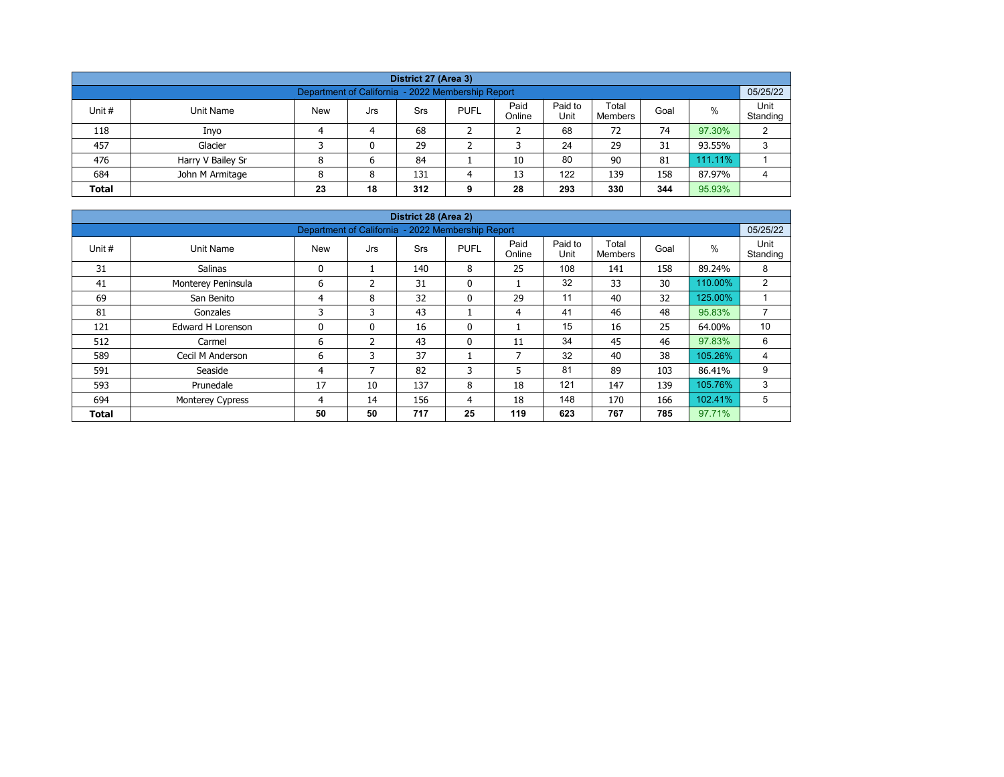| District 27 (Area 3)                                                                                                                                    |                                                                            |   |   |    |  |    |    |    |    |         |   |  |  |  |  |
|---------------------------------------------------------------------------------------------------------------------------------------------------------|----------------------------------------------------------------------------|---|---|----|--|----|----|----|----|---------|---|--|--|--|--|
|                                                                                                                                                         | 05/25/22<br>Department of California - 2022 Membership Report              |   |   |    |  |    |    |    |    |         |   |  |  |  |  |
| Paid<br>Paid to<br>Total<br>%<br>Unit #<br><b>New</b><br><b>PUFL</b><br>Unit Name<br>Srs<br>Goal<br>Jrs<br>Unit<br>Online<br>Standing<br><b>Members</b> |                                                                            |   |   |    |  |    |    |    |    |         |   |  |  |  |  |
| 118                                                                                                                                                     | Inyo                                                                       |   | 4 | 68 |  |    | 68 | 72 | 74 | 97.30%  | C |  |  |  |  |
| 457                                                                                                                                                     | Glacier                                                                    |   | 0 | 29 |  |    | 24 | 29 | 31 | 93.55%  | 3 |  |  |  |  |
| 476                                                                                                                                                     | Harry V Bailey Sr                                                          | 8 | 6 | 84 |  | 10 | 80 | 90 | 81 | 111.11% |   |  |  |  |  |
| 684                                                                                                                                                     | 122<br>158<br>John M Armitage<br>13<br>139<br>87.97%<br>131<br>8<br>4<br>4 |   |   |    |  |    |    |    |    |         |   |  |  |  |  |
| 18<br>293<br>95.93%<br>330<br>344<br>23<br>312<br>28<br><b>Total</b><br>9                                                                               |                                                                            |   |   |    |  |    |    |    |    |         |   |  |  |  |  |

|              |                          |                                                   |                | District 28 (Area 2) |              |                          |                 |                         |      |         |                  |
|--------------|--------------------------|---------------------------------------------------|----------------|----------------------|--------------|--------------------------|-----------------|-------------------------|------|---------|------------------|
|              |                          | Department of California - 2022 Membership Report |                |                      |              |                          |                 |                         |      |         | 05/25/22         |
| Unit #       | Unit Name                | <b>New</b>                                        | Jrs            | <b>Srs</b>           | <b>PUFL</b>  | Paid<br>Online           | Paid to<br>Unit | Total<br><b>Members</b> | Goal | $\%$    | Unit<br>Standing |
| 31           | <b>Salinas</b>           | 0                                                 |                | 140                  | 8            | 25                       | 108             | 141                     | 158  | 89.24%  | 8                |
| 41           | Monterey Peninsula       | 6                                                 | $\mathfrak z$  | 31                   | $\mathbf{0}$ |                          | 32              | 33                      | 30   | 110.00% | 2                |
| 69           | San Benito               | 4                                                 | 8              | 32                   | $\mathbf{0}$ | 29                       | 11              | 40                      | 32   | 125.00% |                  |
| 81           | Gonzales                 | 3                                                 | 3              | 43                   |              | 4                        | 41              | 46                      | 48   | 95.83%  | ⇁                |
| 121          | <b>Edward H Lorenson</b> | 0                                                 | 0              | 16                   | 0            |                          | 15              | 16                      | 25   | 64.00%  | 10               |
| 512          | Carmel                   | 6                                                 | $\overline{2}$ | 43                   | 0            | 11                       | 34              | 45                      | 46   | 97.83%  | 6                |
| 589          | Cecil M Anderson         | 6                                                 | 3              | 37                   |              | $\overline{\phantom{a}}$ | 32              | 40                      | 38   | 105.26% | 4                |
| 591          | Seaside                  | 4                                                 | 7              | 82                   | 3            | 5                        | 81              | 89                      | 103  | 86.41%  | 9                |
| 593          | Prunedale                | 17                                                | 10             | 137                  | 8            | 18                       | 121             | 147                     | 139  | 105.76% | 3                |
| 694          | Monterey Cypress         | 4                                                 | 14             | 156                  | 4            | 18                       | 148             | 170                     | 166  | 102.41% | 5                |
| <b>Total</b> |                          | 50                                                | 50             | 717                  | 25           | 119                      | 623             | 767                     | 785  | 97.71%  |                  |